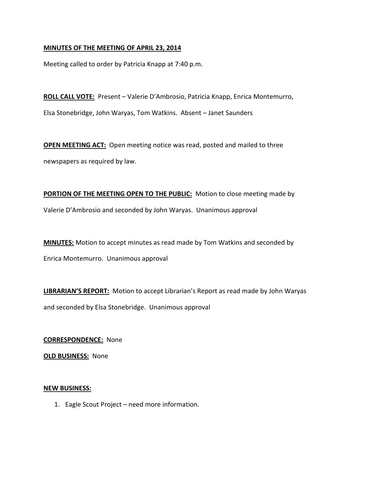### **MINUTES OF THE MEETING OF APRIL 23, 2014**

Meeting called to order by Patricia Knapp at 7:40 p.m.

**ROLL CALL VOTE:** Present – Valerie D'Ambrosio, Patricia Knapp, Enrica Montemurro, Elsa Stonebridge, John Waryas, Tom Watkins. Absent – Janet Saunders

**OPEN MEETING ACT:** Open meeting notice was read, posted and mailed to three newspapers as required by law.

**PORTION OF THE MEETING OPEN TO THE PUBLIC:** Motion to close meeting made by Valerie D'Ambrosio and seconded by John Waryas. Unanimous approval

**MINUTES:** Motion to accept minutes as read made by Tom Watkins and seconded by Enrica Montemurro. Unanimous approval

**LIBRARIAN'S REPORT:** Motion to accept Librarian's Report as read made by John Waryas and seconded by Elsa Stonebridge. Unanimous approval

**CORRESPONDENCE:** None

**OLD BUSINESS:** None

#### **NEW BUSINESS:**

1. Eagle Scout Project – need more information.